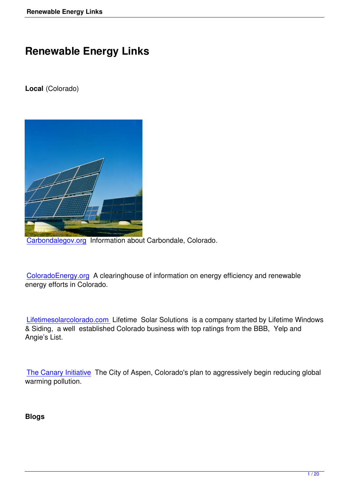# **Renewable Energy Links**

**Local** (Colorado)



Carbondalegov.org Information about Carbondale, Colorado.

[ColoradoEnergy.org](http://www.carbondalegov.org/) A clearinghouse of information on energy efficiency and renewable energy efforts in Colorado.

Lifetimesolarcolorado.com Lifetime Solar Solutions is a company started by Lifetime Windows & Siding, a well established Colorado business with top ratings from the BBB, Yelp and Angie's List.

The Canary Initiative The City of Aspen, Colorado's plan to aggressively begin reducing global warming pollution.

**Blogs**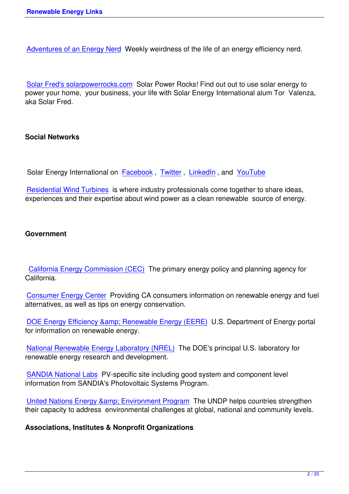Adventures of an Energy Nerd Weekly weirdness of the life of an energy efficiency nerd.

[Solar Fred's solarpowerrocks.c](http://adventuresofanenergynerd.blogspot.com/)om Solar Power Rocks! Find out out to use solar energy to power your home, your business, your life with Solar Energy International alum Tor Valenza, aka Solar Fred.

#### **Social Networks**

Solar Energy International on Facebook, Twitter, LinkedIn, and YouTube

Residential Wind Turbines is where industry professionals come together to share ideas, experiences and their expertis[e about win](http://www.facebook.com/pages/Solar-Energy-International-SEI/70295547361?ref=ts)d [power](http://twitter.com/solarenergyintl) as [a clean](http://www.youtube.com/user/solarenergyvideo#p/a/u/0/ZJ5eVie6RMA) renew[able sour](http://www.youtube.com/user/solarenergyvideo#p/a/u/0/ZJ5eVie6RMA)ce of energy.

## **Government**

California Energy Commission (CEC) The primary energy policy and planning agency for California.

[Consumer Energy Center Providing C](http://www.energy.ca.gov/)A consumers information on renewable energy and fuel alternatives, as well as tips on energy conservation.

DOE Energy Efficiency & amp; Renewable Energy (EERE) U.S. Department of Energy portal for information on renewable energy.

[National Renewable Energy Laboratory \(NREL\) The DOE](http://www.eere.energy.gov/)'s principal U.S. laboratory for renewable energy research and development.

[SANDIA National Labs PV-specific site includin](http://www.nrel.gov/)g good system and component level information from SANDIA's Photovoltaic Systems Program.

[United Nations Energy](http://photovoltaics.sandia.gov/) & amp; Environment Program The UNDP helps countries strengthen their capacity to address environmental challenges at global, national and community levels.

**[Associations, Institutes & Nonprofit Organization](http://www.undp.org/energyandenvironment/)s**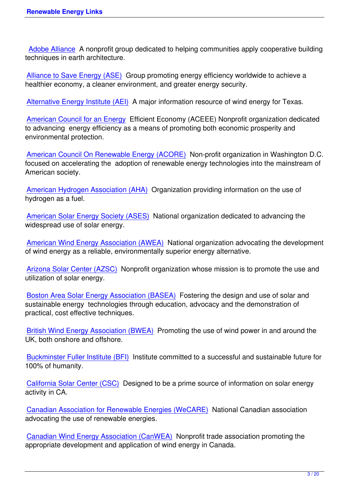Adobe Alliance A nonprofit group dedicated to helping communities apply cooperative building techniques in earth architecture.

[Alliance to Save](http://www.adobealliance.org/) Energy (ASE) Group promoting energy efficiency worldwide to achieve a healthier economy, a cleaner environment, and greater energy security.

[Alternative Energy Institute \(AE](http://ase.org/)I) A major information resource of wind energy for Texas.

American Council for an Energy Efficient Economy (ACEEE) Nonprofit organization dedicated [to advancing energy efficiency as](http://www.windenergy.org/) a means of promoting both economic prosperity and environmental protection.

[American Council On Renewabl](http://www.aceee.org/)e Energy (ACORE) Non-profit organization in Washington D.C. focused on accelerating the adoption of renewable energy technologies into the mainstream of American society.

[American Hydrogen Association \(AHA\) Organizatio](http://www.acore.org/front)n providing information on the use of hydrogen as a fuel.

[American Solar Energy Society \(ASES\)](http://www.clean-air.org/) National organization dedicated to advancing the widespread use of solar energy.

[American Wind Energy Association \(AW](http://www.ases.org/)EA) National organization advocating the development of wind energy as a reliable, environmentally superior energy alternative.

[Arizona Solar Center \(AZSC\) Nonprofit orga](http://www.awea.org/)nization whose mission is to promote the use and utilization of solar energy.

[Boston Area Solar Energy As](http://www.azsolarcenter.com/index.html)sociation (BASEA) Fostering the design and use of solar and sustainable energy technologies through education, advocacy and the demonstration of practical, cost effective techniques.

[British Wind Energy Association \(BWEA\) Promo](http://www.basea.org/)ting the use of wind power in and around the UK, both onshore and offshore.

[Buckminster Fuller Institute \(BFI\) Institute](http://www.bwea.org/) committed to a successful and sustainable future for 100% of humanity.

[California Solar Center \(CSC\) De](http://www.bfi.org/)signed to be a prime source of information on solar energy activity in CA.

[Canadian Association for Ren](http://www.californiasolarcenter.org/index.html)ewable Energies (WeCARE) National Canadian association advocating the use of renewable energies.

[Canadian Wind Energy Association \(CanWEA\) Nonprofit t](http://www.renewables.ca/main/main.php)rade association promoting the appropriate development and application of wind energy in Canada.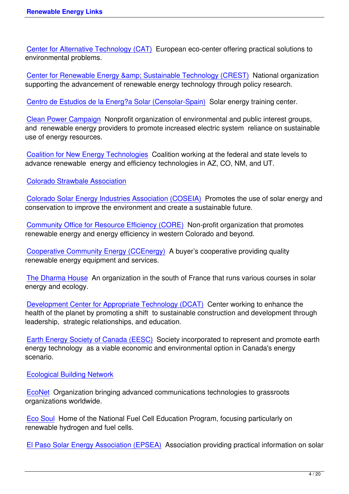Center for Alternative Technology (CAT) European eco-center offering practical solutions to environmental problems.

Center for Renewable Energy & amp; Sustainable Technology (CREST) National organization supporting the advancement of renewable energy technology through policy research.

[Centro de Estudios de la Energ?a Solar \(Censolar-Spain\) Solar energy](http://www.repp.org/) training center.

Clean Power Campaign Nonprofit organization of environmental and public interest groups, [and renewable energy providers to promote increased ele](http://www.censolar.org/)ctric system reliance on sustainable use of energy resources.

[Coalition for New Energ](http://www.cleanpower.org/index.html)y Technologies Coalition working at the federal and state levels to advance renewable energy and efficiency technologies in AZ, CO, NM, and UT.

[Colorado Strawbale Association](http://www.newenergytechnologies.org/)

Colorado Solar Energy Industries Association (COSEIA) Promotes the use of solar energy and [conservation to improve the envi](http://www.coloradostrawbale.org/)ronment and create a sustainable future.

[Community Office for Resource Efficiency \(CORE\) Non-](http://www.coseia.org/newsite/index.php?id=1)profit organization that promotes renewable energy and energy efficiency in western Colorado and beyond.

[Cooperative Community Energy \(CCEnergy\) A bu](http://www.aspencore.org/)yer's cooperative providing quality renewable energy equipment and services.

[The Dharma House An organization in the so](http://www.cooperativecommunityenergy.com/t_index.html)uth of France that runs various courses in solar energy and ecology.

[Development Cente](http://www.thedharmahouse.com/)r for Appropriate Technology (DCAT) Center working to enhance the health of the planet by promoting a shift to sustainable construction and development through leadership, strategic relationships, and education.

[Earth Energy Society of Canada \(EESC\) Society incorpo](http://www.dcat.net/)rated to represent and promote earth energy technology as a viable economic and environmental option in Canada's energy scenario.

[Ecological Building Network](http://www.earthenergy.ca/conta.html)

EcoNet Organization bringing advanced communications technologies to grassroots [organizations worldwide.](http://www.ecobuildnetwork.org/)

[Eco Sou](http://www.igc.org/)l Home of the National Fuel Cell Education Program, focusing particularly on renewable hydrogen and fuel cells.

[El Paso S](http://www.ecosoul.org/main_ecosoul.html)olar Energy Association (EPSEA) Association providing practical information on solar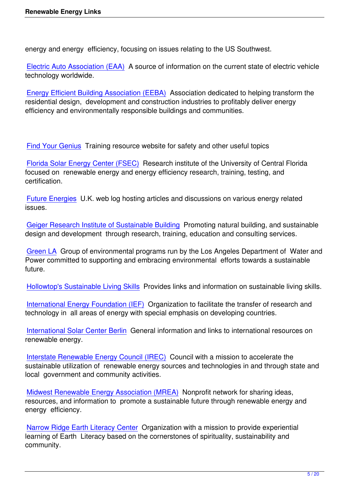energy and energy efficiency, focusing on issues relating to the US Southwest.

Electric Auto Association (EAA) A source of information on the current state of electric vehicle technology worldwide.

[Energy Efficient Building Associ](http://www.eaaev.org/)ation (EEBA) Association dedicated to helping transform the residential design, development and construction industries to profitably deliver energy efficiency and environmentally responsible buildings and communities.

Find Your Genius Training resource website for safety and other useful topics

Florida Solar Energy Center (FSEC) Research institute of the University of Central Florida [focused on renew](http://www.training-classes.com/course_hierarchy/Environmental/Green_Renewable_Energy/)able energy and energy efficiency research, training, testing, and certification.

[Future Energies U.K. web log hostin](http://www.eeba.org/)g articles and discussions on various energy related issues.

[Geiger Research](http://www.futureenergies.com/) Institute of Sustainable Building Promoting natural building, and sustainable design and development through research, training, education and consulting services.

[Green LA Group of environmental programs run b](http://www.grisb.org/)y the Los Angeles Department of Water and Power committed to supporting and embracing environmental efforts towards a sustainable future.

[Hollowtop](http://www.greenenergyohio.org/default.cfm?Flash=true)'s Sustainable Living Skills Provides links and information on sustainable living skills.

International Energy Foundation (IEF) Organization to facilitate the transfer of research and [technology in all areas of energy with](http://www.hollowtop.com/cls_html/cls.html) special emphasis on developing countries.

[International Solar Center Berlin Gene](http://www.ief-energy.org/)ral information and links to international resources on renewable energy.

[Interstate Renewable Energy Co](http://emsolar.ee.tu-berlin.de/iscb/home.html)uncil (IREC) Council with a mission to accelerate the sustainable utilization of renewable energy sources and technologies in and through state and local government and community activities.

[Midwest Renewable Energy Association \(MR](http://www.irecusa.org/)EA) Nonprofit network for sharing ideas, resources, and information to promote a sustainable future through renewable energy and energy efficiency.

[Narrow Ridge Earth Literacy Center Organization](http://www.the-mrea.org/) with a mission to provide experiential learning of Earth Literacy based on the cornerstones of spirituality, sustainability and community.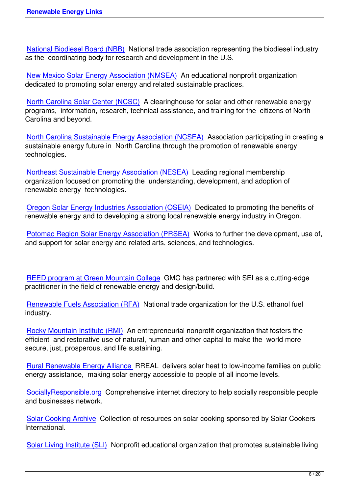National Biodiesel Board (NBB) National trade association representing the biodiesel industry as the coordinating body for research and development in the U.S.

[New Mexico Solar Energy Asso](http://www.biodiesel.org/)ciation (NMSEA) An educational nonprofit organization dedicated to promoting solar energy and related sustainable practices.

[North Carolina Solar Center \(NCSC\) A clearingh](http://www.nmsea.org/)ouse for solar and other renewable energy programs, information, research, technical assistance, and training for the citizens of North Carolina and beyond.

[North Carolina Sustainable Energy A](http://www.ncsc.ncsu.edu/)ssociation (NCSEA) Association participating in creating a sustainable energy future in North Carolina through the promotion of renewable energy technologies.

[Northeast Sustainable Energy Association \(NESEA\) Lea](http://www.ncsustainableenergy.org/)ding regional membership organization focused on promoting the understanding, development, and adoption of renewable energy technologies.

[Oregon Solar Energy Industries Association \(OSEIA](http://www.nesea.org/)) Dedicated to promoting the benefits of renewable energy and to developing a strong local renewable energy industry in Oregon.

[Potomac Region Solar Energy Association \(PRSEA\)](http://www.oregonseia.org/) Works to further the development, use of, and support for solar energy and related arts, sciences, and technologies.

REED program at Green Mountain College GMC has partnered with SEI as a cutting-edge practitioner in the field of renewable energy and design/build.

[Renewable Fuels Association \(RFA\) Nation](http://www.greenmtn.edu/reed.aspx)al trade organization for the U.S. ethanol fuel industry.

[Rocky Mountain Institute \(RMI\) An e](http://www.ethanolrfa.org/)ntrepreneurial nonprofit organization that fosters the efficient and restorative use of natural, human and other capital to make the world more secure, just, prosperous, and life sustaining.

[Rural Renewable Energy Allian](http://www.rmi.org/)ce RREAL delivers solar heat to low-income families on public energy assistance, making solar energy accessible to people of all income levels.

[SociallyResponsible.org Compreh](http://www.rreal.org/)ensive internet directory to help socially responsible people and businesses network.

[Solar Cooking Archive C](http://www.sociallyresponsible.org/)ollection of resources on solar cooking sponsored by Solar Cookers International.

[Solar Living Institute \(S](http://solarcooking.org/)LI) Nonprofit educational organization that promotes sustainable living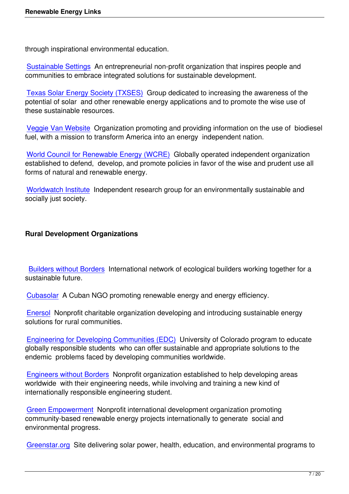through inspirational environmental education.

Sustainable Settings An entrepreneurial non-profit organization that inspires people and communities to embrace integrated solutions for sustainable development.

[Texas Solar Energy S](http://www.sustainablesettings.org/)ociety (TXSES) Group dedicated to increasing the awareness of the potential of solar and other renewable energy applications and to promote the wise use of these sustainable resources.

[Veggie Van Website Organization pro](http://www.txses.org/solar/)moting and providing information on the use of biodiesel fuel, with a mission to transform America into an energy independent nation.

[World Council for Re](http://www.veggievan.org/)newable Energy (WCRE) Globally operated independent organization established to defend, develop, and promote policies in favor of the wise and prudent use all forms of natural and renewable energy.

[Worldwatch Institute Independent research gr](http://www.world-council-for-renewable-energy.org/index.html)oup for an environmentally sustainable and socially just society.

# **Rural Development Organizations**

Builders without Borders International network of ecological builders working together for a sustainable future.

[Cubasolar A Cuban NGO](http://www.builderswithoutborders.org/) promoting renewable energy and energy efficiency.

Enersol Nonprofit charitable organization developing and introducing sustainable energy [solutions fo](http://www.cubasolar.cu/)r rural communities.

[Enginee](http://www.enersol.org/)ring for Developing Communities (EDC) University of Colorado program to educate globally responsible students who can offer sustainable and appropriate solutions to the endemic problems faced by developing communities worldwide.

[Engineers without Borders Nonprofit organizatio](http://ceae.colorado.edu/mc-edc/?ii=index)n established to help developing areas worldwide with their engineering needs, while involving and training a new kind of internationally responsible engineering student.

[Green Empowerment Non](http://www.ewb-usa.org/)profit international development organization promoting community-based renewable energy projects internationally to generate social and environmental progress.

[Greenstar.org Site de](http://www.greenempowerment.org/)livering solar power, health, education, and environmental programs to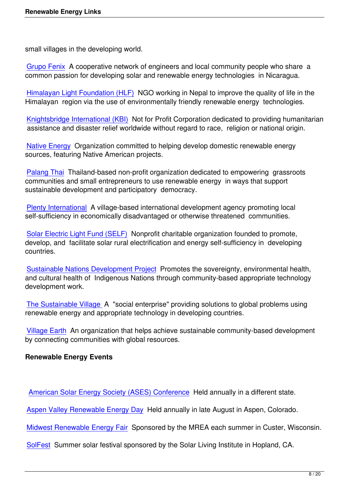small villages in the developing world.

Grupo Fenix A cooperative network of engineers and local community people who share a common passion for developing solar and renewable energy technologies in Nicaragua.

[Himalayan L](http://www.grupofenix.org/)ight Foundation (HLF) NGO working in Nepal to improve the quality of life in the Himalayan region via the use of environmentally friendly renewable energy technologies.

[Knightsbridge International \(KBI\) N](http://www.hlf.org.np/)ot for Profit Corporation dedicated to providing humanitarian assistance and disaster relief worldwide without regard to race, religion or national origin.

[Native Energy Organization com](http://www.knightsbridge.org/)mitted to helping develop domestic renewable energy sources, featuring Native American projects.

[Palang Thai T](http://www.nativeenergy.com/pages/error_page/327.php)hailand-based non-profit organization dedicated to empowering grassroots communities and small entrepreneurs to use renewable energy in ways that support sustainable development and participatory democracy.

[Plenty Intern](http://www.palangthai.org/)ational A village-based international development agency promoting local self-sufficiency in economically disadvantaged or otherwise threatened communities.

[Solar Electric Light](http://www.plenty.org/) Fund (SELF) Nonprofit charitable organization founded to promote, develop, and facilitate solar rural electrification and energy self-sufficiency in developing countries.

[Sustainable Nations Developmen](http://www.self.org/)t Project Promotes the sovereignty, environmental health, and cultural health of Indigenous Nations through community-based appropriate technology development work.

[The Sustainable Village A "social enterpr](http://www.sustainablenations.org/)ise" providing solutions to global problems using renewable energy and appropriate technology in developing countries.

[Village Earth An organiz](http://www.sustainablenations.org/)ation that helps achieve sustainable community-based development by connecting communities with global resources.

# **[Renewable E](http://www.villageearth.org/)nergy Events**

American Solar Energy Society (ASES) Conference Held annually in a different state.

Aspen Valley Renewable Energy Day Held annually in late August in Aspen, Colorado.

[Midwest Renewable Energy Fair Sponsored by the M](http://www.ases.org/)REA each summer in Custer, Wisconsin.

[SolFest Summer solar festival sponso](http://www.areday.net/)red by the Solar Living Institute in Hopland, CA.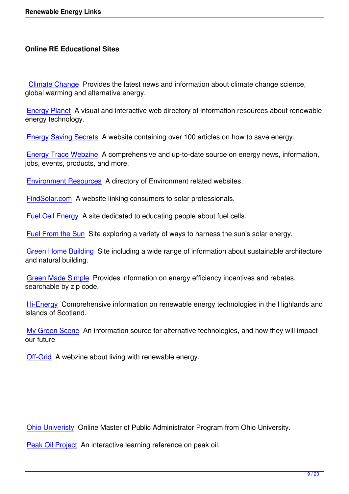Climate Change Provides the latest news and information about climate change science, global warming and alternative energy.

[Energy Planet A](http://www.climatechange.com.au/) visual and interactive web directory of information resources about renewable energy technology.

[Energy Saving](http://www.energyplanet.info/) Secrets A website containing over 100 articles on how to save energy.

Energy Trace Webzine A comprehensive and up-to-date source on energy news, information, [jobs, events, products, a](http://www.energysavingsecrets.co.uk/)nd more.

[Environment Resource](http://www.energytrace.com/)s A directory of Environment related websites.

FindSolar.com A website linking consumers to solar professionals.

[Fuel Cell Energy A site](http://www.the-science-lab.com/Environment/) dedicated to educating people about fuel cells.

[Fuel From the](http://www.findsolar.com/) Sun Site exploring a variety of ways to harness the sun's solar energy.

[Green Home Bui](http://www.cleanfuelcellenergy.com/)lding Site including a wide range of information about sustainable architecture [and natural building](http://www.fuelfromthesun.com/).

[Green Made Simple P](http://www.greenhomebuilding.com/)rovides information on energy efficiency incentives and rebates, searchable by zip code.

[Hi-Energy Compreh](http://www.greenmadesimple.com/)ensive information on renewable energy technologies in the Highlands and Islands of Scotland.

[My Green](http://www.hi-energy.org.uk/) Scene An information source for alternative technologies, and how they will impact our future

[Off-Grid A webzi](http://www.mygreenscene.com/)ne about living with renewable energy.

Ohio Univeristy Online Master of Public Administrator Program from Ohio University.

Peak Oil Project An interactive learning reference on peak oil.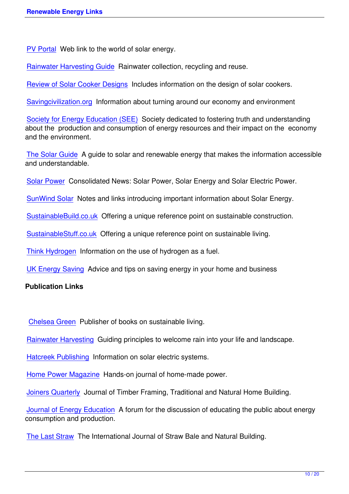PV Portal Web link to the world of solar energy.

Rainwater Harvesting Guide Rainwater collection, recycling and reuse.

[Review of](http://www.pvportal.com/) Solar Cooker Designs Includes information on the design of solar cookers.

[Savingcivilization.org Inform](http://www.rain-barrel.net/)ation about turning around our economy and environment

[Society for Energy Education \(SE](http://members.tripod.com/~ashokk_3/index.html)E) Society dedicated to fostering truth and understanding [about the production](http://www.savingcivilization.org/) and consumption of energy resources and their impact on the economy and the environment.

[The Solar Guide A guide to solar an](http://www.asktheenergydoctor.com/)d renewable energy that makes the information accessible and understandable.

[Solar Power Con](http://www.thesolarguide.com/)solidated News: Solar Power, Solar Energy and Solar Electric Power.

SunWind Solar Notes and links introducing important information about Solar Energy.

[SustainableB](http://www.alternative-energy-news.info/headlines/solar/)uild.co.uk Offering a unique reference point on sustainable construction.

[SustainableStu](http://www.sunwindsolar.com/a_scripts/n_notes_links.php)ff.co.uk Offering a unique reference point on sustainable living.

[Think Hydrogen Inform](http://www.sustainablebuild.co.uk/)ation on the use of hydrogen as a fuel.

[UK Energy Saving Adv](http://www.sustainablestuff.co.uk/)ice and tips on saving energy in your home and business

# **[Publication Link](http://www.thinkhydrogen.com/home.htm)s**

Chelsea Green Publisher of books on sustainable living.

Rainwater Harvesting Guiding principles to welcome rain into your life and landscape.

[Hatcreek Publis](http://www.chelseagreen.com/)hing Information on solar electric systems.

[Home Power Magazin](http://www.harvestingrainwater.com/)e Hands-on journal of home-made power.

[Joiners Quarterly Jo](http://www.hatcreekpublishing.com/)urnal of Timber Framing, Traditional and Natural Home Building.

[Journal of Energy Educ](http://www.homepower.com/)ation A forum for the discussion of educating the public about energy [consumption and](http://www.foxmaple.com/) production.

[The Last Straw The Internat](http://www.asktheenergydoctor.com/)ional Journal of Straw Bale and Natural Building.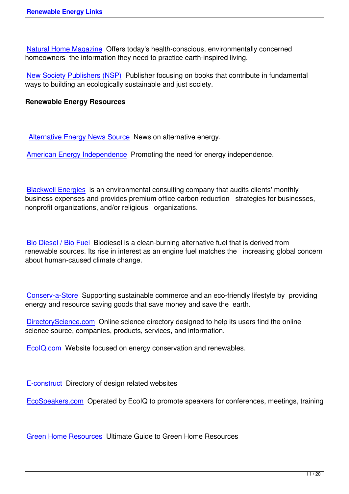Natural Home Magazine Offers today's health-conscious, environmentally concerned homeowners the information they need to practice earth-inspired living.

[New Society Publishers \(](http://www.naturalhomemagazine.com/)NSP) Publisher focusing on books that contribute in fundamental ways to building an ecologically sustainable and just society.

## **[Renewable Energy Resource](http://www.newsociety.com/)s**

Alternative Energy News Source News on alternative energy.

American Energy Independence Promoting the need for energy independence.

[Blackwell Energies is an environ](http://www.americanenergyindependence.com/)mental consulting company that audits clients' monthly business expenses and provides premium office carbon reduction strategies for businesses, nonprofit organizations, and/or religious organizations.

Bio Diesel / Bio Fuel Biodiesel is a clean-burning alternative fuel that is derived from renewable sources. Its rise in interest as an engine fuel matches the increasing global concern about human-caused climate change.

Conserv-a-Store Supporting sustainable commerce and an eco-friendly lifestyle by providing energy and resource saving goods that save money and save the earth.

[DirectoryScience](http://www.conservastore.com/).com Online science directory designed to help its users find the online science source, companies, products, services, and information.

[EcoIQ.com Website fo](http://www.directoryscience.com/)cused on energy conservation and renewables.

[E-construct](http://www.ecoiq.com/energy/) Directory of design related websites

EcoSpeakers.com Operated by EcoIQ to promote speakers for conferences, meetings, training

[Green Home Reso](http://www.ecospeakers.com/)urces Ultimate Guide to Green Home Resources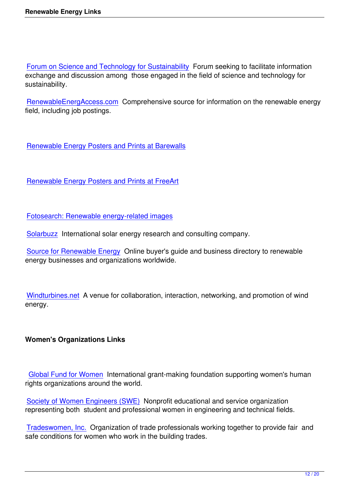Forum on Science and Technology for Sustainability Forum seeking to facilitate information exchange and discussion among those engaged in the field of science and technology for sustainability.

[RenewableEnergAccess.com Comprehensive sourc](http://sustainabilityscience.org/)e for information on the renewable energy field, including job postings.

Renewable Energy Posters and Prints at Barewalls

[Renewable Energy Posters and Prints at FreeArt](http://www.barewalls.com/posters-art-prints/renewable-energy.html)

[Fotosearch: Renewable energy-related images](https://www.freeart.com/art/prints/renewable-energy/all/)

Solarbuzz International solar energy research and consulting company.

[Source for Renewable Energy Online buyer's g](http://www.fotosearch.com/photos-images/renewable-energy.html)uide and business directory to renewable [energy bus](http://www.solarbuzz.com/)inesses and organizations worldwide.

Windturbines.net A venue for collaboration, interaction, networking, and promotion of wind energy.

# **Women's Organizations Links**

Global Fund for Women International grant-making foundation supporting women's human rights organizations around the world.

[Society of Women Engin](http://www.globalfundforwomen.org/)eers (SWE) Nonprofit educational and service organization representing both student and professional women in engineering and technical fields.

[Tradeswomen, Inc. Organization of t](http://societyofwomenengineers.swe.org/)rade professionals working together to provide fair and safe conditions for women who work in the building trades.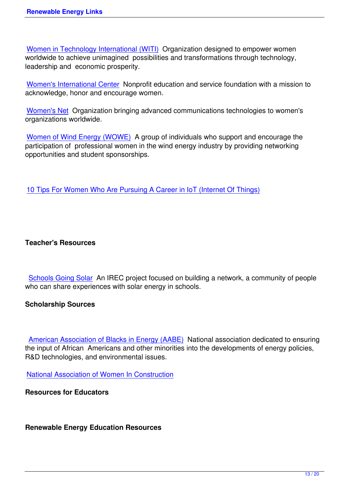Women in Technology International (WITI) Organization designed to empower women worldwide to achieve unimagined possibilities and transformations through technology, leadership and economic prosperity.

[Women's International Center Nonprofit ed](http://www.witi.com/)ucation and service foundation with a mission to acknowledge, honor and encourage women.

[Women](http://www.wic.org/)'[s Net Organization br](http://www.wic.org/)inging advanced communications technologies to women's organizations worldwide.

[Women of Wi](http://www.igc.org/)nd Energy (WOWE) A group of individuals who support and encourage the participation of professional women in the wind energy industry by providing networking opportunities and student sponsorships.

10 Tips For Women Who Are Pursuing A Career in IoT (Internet Of Things)

## **Teacher's Resources**

Schools Going Solar An IREC project focused on building a network, a community of people who can share experiences with solar energy in schools.

#### **[Scholarship Sources](http://www.schoolsgoingsolar.org/)**

American Association of Blacks in Energy (AABE) National association dedicated to ensuring the input of African Americans and other minorities into the developments of energy policies, R&D technologies, and environmental issues.

[National Association of Women In Construction](http://www.aabe.org/)

**Resources for Educators** 

**Renewable Energy Education Resources**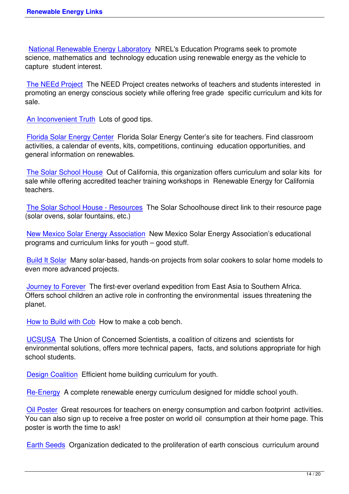National Renewable Energy Laboratory NREL's Education Programs seek to promote science, mathematics and technology education using renewable energy as the vehicle to capture student interest.

[The NEEd Project The NEED Project cr](http://www.nrel.gov/education/k12_students.html)eates networks of teachers and students interested in promoting an energy conscious society while offering free grade specific curriculum and kits for sale.

[An Inconvenient T](http://www.need.org/)ruth Lots of good tips.

Florida Solar Energy Center Florida Solar Energy Center's site for teachers. Find classroom [activities, a calendar of](http://www.climatecrisis.net/) events, kits, competitions, continuing education opportunities, and general information on renewables.

[The Solar School House Ou](http://www.fsec.ucf.edu/en/)t of California, this organization offers curriculum and solar kits for sale while offering accredited teacher training workshops in Renewable Energy for California teachers.

[The Solar School House](http://www.solarschoolhouse.org/ssh.html) - Resources The Solar Schoolhouse direct link to their resource page (solar ovens, solar fountains, etc.)

[New Mexico Solar Energy Association](http://www.solarschoolhouse.org/oldssh/resources.html) New Mexico Solar Energy Association's educational programs and curriculum links for youth – good stuff.

[Build It Solar Many solar-based, hand](http://www.nmsea.org/education_%26_outreach.htm)s-on projects from solar cookers to solar home models to even more advanced projects.

[Journey to Fo](http://www.builditsolar.com/Projects/Educational/educational.htm)rever The first-ever overland expedition from East Asia to Southern Africa. Offers school children an active role in confronting the environmental issues threatening the planet.

[How to Build with C](http://www.journeytoforever.org/)ob How to make a cob bench.

UCSUSA The Union of Concerned Scientists, a coalition of citizens and scientists for [environmental solutions](http://www.humboldt.edu/~ccat/alternativebuilding/cob/anonymousFA2000/cob.html), offers more technical papers, facts, and solutions appropriate for high school students.

[Design Co](http://www.ucsusa.org/)alition Efficient home building curriculum for youth.

Re-Energy A complete renewable energy curriculum designed for middle school youth.

[Oil Poster Great](http://designcoalition.org/kids/energyhouse/pdfpage.htm) resources for teachers on energy consumption and carbon footprint activities. [You can als](http://www.re-energy.ca/t_teacher.shtml)o sign up to receive a free poster on world oil consumption at their home page. This poster is worth the time to ask!

[Earth See](http://www.oilposter.org/teachingaids.html)ds Organization dedicated to the proliferation of earth conscious curriculum around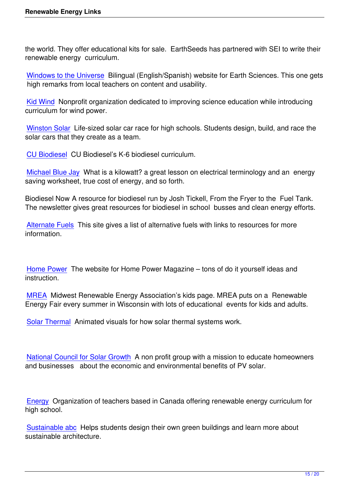the world. They offer educational kits for sale. EarthSeeds has partnered with SEI to write their renewable energy curriculum.

Windows to the Universe Bilingual (English/Spanish) website for Earth Sciences. This one gets high remarks from local teachers on content and usability.

[Kid Wind Nonprofit organ](http://www.windows.ucar.edu/)ization dedicated to improving science education while introducing curriculum for wind power.

[Winston S](http://www.kidwind.org/)olar Life-sized solar car race for high schools. Students design, build, and race the solar cars that they create as a team.

[CU Biodiesel](http://www.winstonsolar.org/challenge/about.shtml) CU Biodiesel's K-6 biodiesel curriculum.

Michael Blue Jay What is a kilowatt? a great lesson on electrical terminology and an energy [saving worksh](http://cubiodiesel.org/pyb.php)eet, true cost of energy, and so forth.

[Biodiesel Now A r](http://michaelbluejay.com/electricity/cost.html)esource for biodiesel run by Josh Tickell, From the Fryer to the Fuel Tank. The newsletter gives great resources for biodiesel in school busses and clean energy efforts.

Alternate Fuels This site gives a list of alternative fuels with links to resources for more information.

Home Power The website for Home Power Magazine – tons of do it yourself ideas and instruction.

[MREA Midwe](http://www.homepower.com/)st Renewable Energy Association's kids page. MREA puts on a Renewable Energy Fair every summer in Wisconsin with lots of educational events for kids and adults.

[Solar T](http://www.the-mrea.org/events_outreach.php)hermal Animated visuals for how solar thermal systems work.

[National Coun](http://www.solarthermal.com/Applications/application6.asp)cil for Solar Growth A non profit group with a mission to educate homeowners and businesses about the economic and environmental benefits of PV solar.

Energy Organization of teachers based in Canada offering renewable energy curriculum for high school.

[Sustain](http://www.re-energy.ca/t_teacher.shtml)able abc Helps students design their own green buildings and learn more about sustainable architecture.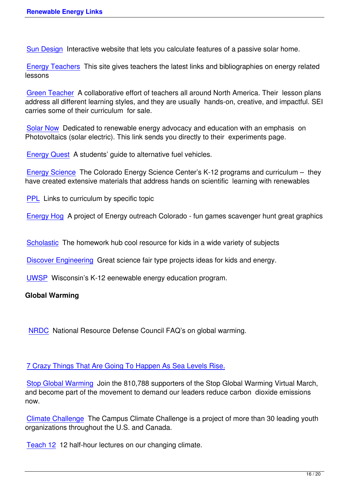Sun Design Interactive website that lets you calculate features of a passive solar home.

Energy Teachers This site gives teachers the latest links and bibliographies on energy related [lessons](http://www.sundesign.com/) 

[Green Teacher A](http://www.energyteachers.org/) collaborative effort of teachers all around North America. Their lesson plans address all different learning styles, and they are usually hands-on, creative, and impactful. SEI carries some of their curriculum for sale.

[Solar Now Ded](http://www.greenteacher.com/)icated to renewable energy advocacy and education with an emphasis on Photovoltaics (solar electric). This link sends you directly to their experiments page.

[Energy Qu](http://www.solarnow.org/experiment.htm)est A students' guide to alternative fuel vehicles.

Energy Science The Colorado Energy Science Center's K-12 programs and curriculum – they [have created e](http://www.energyquest.ca.gov/transportation/electric.html)xtensive materials that address hands on scientific learning with renewables

[PPL Links to cu](http://www.energyscience.org/education/programs.htm)rriculum by specific topic

Energy Hog A project of Energy outreach Colorado - fun games scavenger hunt great graphics

[Scholastic T](http://www.energyhog.org/)he homework hub cool resource for kids in a wide variety of subjects

Discover Engineering Great science fair type projects ideas for kids and energy.

[UWSP Wi](http://www.scholastic.com/kids/homework/index.htm)sconsin's K-12 eenewable energy education program.

# **[Global Warming](http://www.eweek.org/site/DiscoverE/activities/archive.shtml)**

NRDC National Resource Defense Council FAQ's on global warming.

#### [7 Crazy](http://www.nrdc.org/globalWarming/f101.asp) Things That Are Going To Happen As Sea Levels Rise.

Stop Global Warming Join the 810,788 supporters of the Stop Global Warming Virtual March, [and become part of the movement to demand our leaders reduce](https://moboxmarine.com/blog/7-crazy-things-happen-sea-levels-rise/) carbon dioxide emissions now.

[Climate Challenge Th](http://stopglobalwarming.org/)e Campus Climate Challenge is a project of more than 30 leading youth organizations throughout the U.S. and Canada.

[Teach 12 12 half-h](http://climatechallenge.org/)our lectures on our changing climate.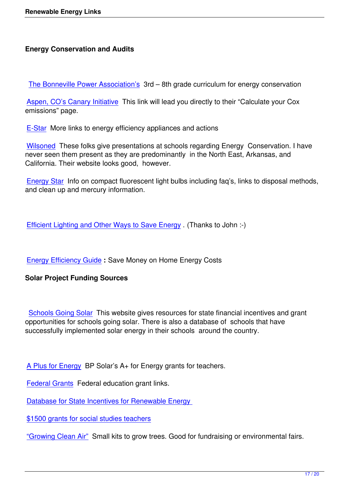The Bonneville Power Association's 3rd – 8th grade curriculum for energy conservation

Aspen, CO's Canary Initiative This link will lead you directly to their "Calculate your Cox [emissions" page.](http://www.bpa.gov/corporate/KR/ed/energyaudit/chapter1/chap1.htm) 

[E-Star More links to energy e](http://aspenglobalwarming.com/calculate.cfm)fficiency appliances and actions

Wilsoned These folks give presentations at schools regarding Energy Conservation. I have [never s](http://e-star.com/)een them present as they are predominantly in the North East, Arkansas, and California. Their website looks good, however.

[Energy St](http://www.wilsoned.com/)ar Info on compact fluorescent light bulbs including faq's, links to disposal methods, and clean up and mercury information.

Efficient Lighting and Other Ways to Save Energy . (Thanks to John :-)

[Energy Efficiency Guide](http://www.architectdesignlighting.com/efficient-lighting/) **:** Save Money on Home Energy Costs

# **Solar Project Funding Sources**

Schools Going Solar This website gives resources for state financial incentives and grant opportunities for schools going solar. There is also a database of schools that have successfully implemented solar energy in their schools around the country.

A Plus for Energy BP Solar's A+ for Energy grants for teachers.

Federal Grants Federal education grant links.

[Database for State](http://www.aplusforenergy.org/) Incentives for Renewable Energy

[\\$1500 grants fo](http://catalog.pitsco.com/about/item.aspx?ap=2&art=314)r social studies teachers

["Growing Clean Air" Small kits to grow trees. Good fo](http://www.dsireusa.org/)r fundraising or environmental fairs.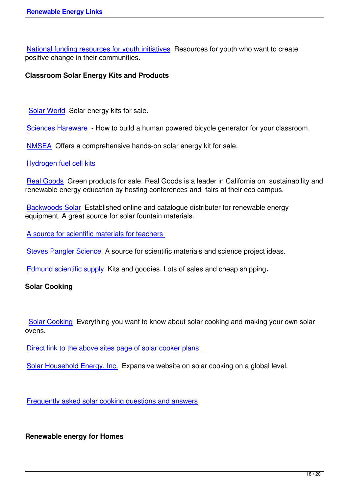National funding resources for youth initiatives Resources for youth who want to create positive change in their communities.

## **[Classroom Solar Energy Kits and Products](http://www.idealist.org/kt/activism.html#SEC7)**

Solar World Solar energy kits for sale.

Sciences Hareware - How to build a human powered bicycle generator for your classroom.

[NMSEA Offe](http://www.solarworld.com/Educational.htm)rs a comprehensive hands-on solar energy kit for sale.

# [Hydrogen fuel cell k](http://www.scienceshareware.com/)its

[Real Go](http://www.nmsea.org/SunChaser2/Solar_Kits.htm)ods Green products for sale. Real Goods is a leader in California on sustainability and [renewable energy educ](http://www.fuelcellstore.com/)ation by hosting conferences and fairs at their eco campus.

[Backwoods](http://www.realgoods.com/) Solar Established online and catalogue distributer for renewable energy equipment. A great source for solar fountain materials.

[A source for scien](http://www.backwoodssolar.com/)tific materials for teachers

Steves Pangler Science A source for scientific materials and science project ideas.

[Edmund scientific supply Kits and goodies. L](http://www.pitsco.com/)ots of sales and cheap shipping**.**

# **[Solar Cooking](http://www.stevespanglerscience.com/)**

Solar Cooking Everything you want to know about solar cooking and making your own solar ovens.

[Direct link to th](http://www.solarcooking.org/)e above sites page of solar cooker plans

Solar Household Energy, Inc. Expansive website on solar cooking on a global level.

[Frequently asked solar cookin](http://www.she-inc.org/)g questions and answers

**[Renewable energy for Homes](http://solarcooking.wikia.com/wiki/Solar_Cooking:Frequently-asked_questions)**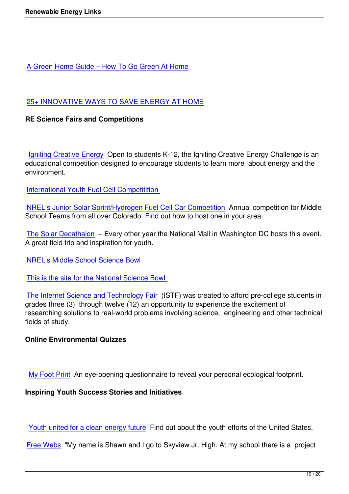## [25+ INNOVATIVE WAYS TO SAVE ENERGY AT HO](http://powerdrillguru.com/blog/a-green-home-guide-how-to-go-green-at-home/)ME

#### **RE Science Fairs and Competitions**

Igniting Creative Energy Open to students K-12, the Igniting Creative Energy Challenge is an educational competition designed to encourage students to learn more about energy and the environment.

I[nternational Youth Fuel C](http://www.ignitingcreativeenergy.org/)ell Competitition

NREL's Junior Solar Sprint/Hydrogen Fuel Cell Car Competition Annual competition for Middle [School Teams from all over Colorado. Find](http://www.iyfcc.com/) out how to host one in your area.

[The Solar Decathalon – Every other year the National Mall in W](http://www.nrel.gov/education/jss_hfc.html)ashington DC hosts this event. A great field trip and inspiration for youth.

[NREL's Middle Schoo](http://www.solardecathlon.org/)l Science Bowl

This is the site for the National Science Bowl

[The Internet Science and Technology](http://www.nrel.gov/education/science_bowl.html) Fair (ISTF) was created to afford pre-college students in [grades three \(3\) through twelve \(12\) an oppor](http://www.scied.science.doe.gov/nsb/default.htm)tunity to experience the excitement of researching solutions to real-world problems involving science, engineering and other technical [fields of study.](http://istf.ucf.edu/) 

#### **Online Environmental Quizzes**

My Foot Print An eye-opening questionnaire to reveal your personal ecological footprint.

#### **Inspiring Youth Success Stories and Initiatives**

Youth united for a clean energy future Find out about the youth efforts of the United States.

Free Webs "My name is Shawn and I go to Skyview Jr. High. At my school there is a project